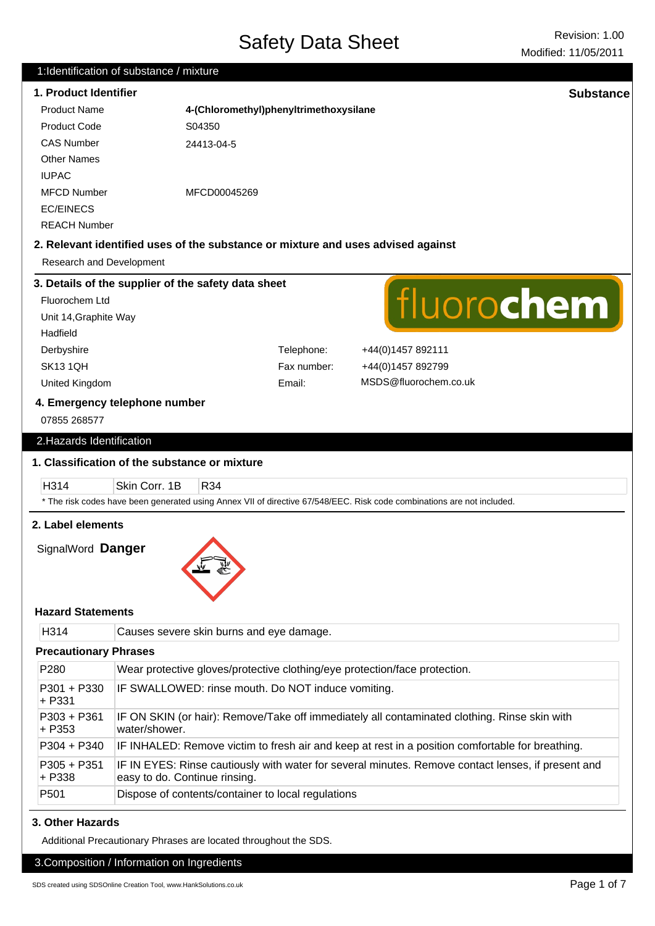# **1. Product Identifier Substance** Product Name **4-(Chloromethyl)phenyltrimethoxysilane** Product Code S04350 CAS Number 24413-04-5 Other Names IUPAC MFCD Number MFCD00045269 EC/EINECS REACH Number **2. Relevant identified uses of the substance or mixture and uses advised against** Research and Development **3. Details of the supplier of the safety data sheet** fluorochem Fluorochem Ltd Unit 14,Graphite Way Hadfield Derbyshire Telephone: +44(0)1457 892111 SK13 1QH Fax number: +44(0)1457 892799 MSDS@fluorochem.co.uk United Kingdom Email: **4. Emergency telephone number** 07855 268577 2.Hazards Identification **1. Classification of the substance or mixture** H314 Skin Corr. 1B R34 \* The risk codes have been generated using Annex VII of directive 67/548/EEC. Risk code combinations are not included. **2. Label elements** SignalWord **Danger Hazard Statements** H314 Causes severe skin burns and eye damage. **Precautionary Phrases** P280 Wear protective gloves/protective clothing/eye protection/face protection. P301 + P330 IF SWALLOWED: rinse mouth. Do NOT induce vomiting. + P331 P303 + P361 IF ON SKIN (or hair): Remove/Take off immediately all contaminated clothing. Rinse skin with + P353 water/shower. P304 + P340 IF INHALED: Remove victim to fresh air and keep at rest in a position comfortable for breathing. P305 + P351 IF IN EYES: Rinse cautiously with water for several minutes. Remove contact lenses, if present and + P338 easy to do. Continue rinsing. P501 Dispose of contents/container to local regulations **3. Other Hazards**

Additional Precautionary Phrases are located throughout the SDS.

# 3.Composition / Information on Ingredients

1:Identification of substance / mixture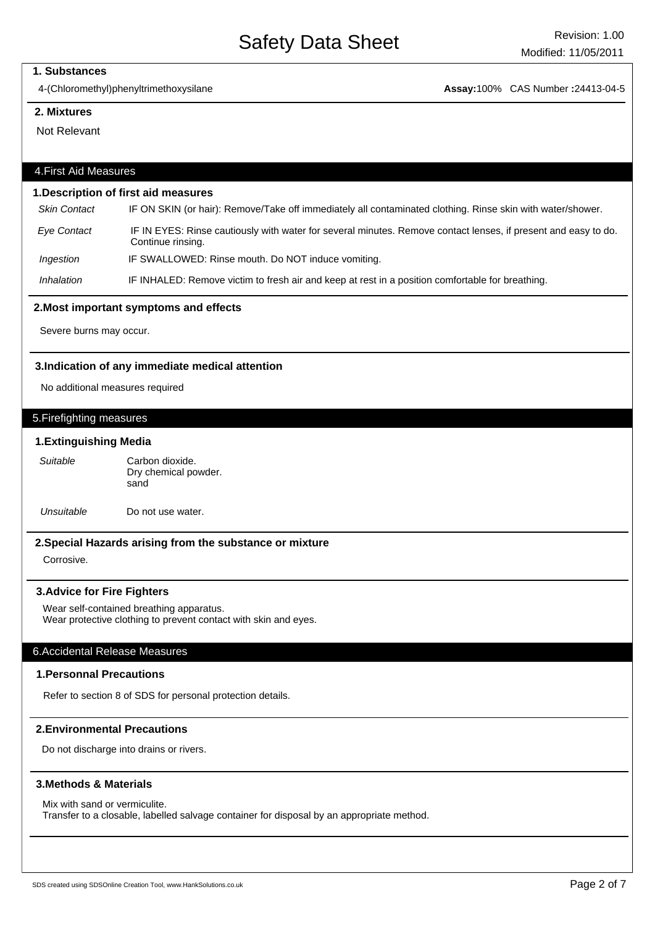#### **1. Substances**

4-(Chloromethyl)phenyltrimethoxysilane **Assay:**100% CAS Number **:**24413-04-5

#### **2. Mixtures**

Not Relevant

# 4.First Aid Measures

#### **1.Description of first aid measures**

Skin Contact IF ON SKIN (or hair): Remove/Take off immediately all contaminated clothing. Rinse skin with water/shower.

- Eye Contact IF IN EYES: Rinse cautiously with water for several minutes. Remove contact lenses, if present and easy to do. Continue rinsing.
- Ingestion IF SWALLOWED: Rinse mouth. Do NOT induce vomiting.

Inhalation IF INHALED: Remove victim to fresh air and keep at rest in a position comfortable for breathing.

#### **2.Most important symptoms and effects**

Severe burns may occur.

#### **3.Indication of any immediate medical attention**

No additional measures required

## 5.Firefighting measures

#### **1.Extinguishing Media**

Carbon dioxide. Dry chemical powder. sand Suitable

Unsuitable Do not use water.

#### **2.Special Hazards arising from the substance or mixture**

Corrosive.

#### **3.Advice for Fire Fighters**

Wear self-contained breathing apparatus. Wear protective clothing to prevent contact with skin and eyes.

#### 6.Accidental Release Measures

### **1.Personnal Precautions**

Refer to section 8 of SDS for personal protection details.

# **2.Environmental Precautions**

Do not discharge into drains or rivers.

#### **3.Methods & Materials**

Mix with sand or vermiculite.

Transfer to a closable, labelled salvage container for disposal by an appropriate method.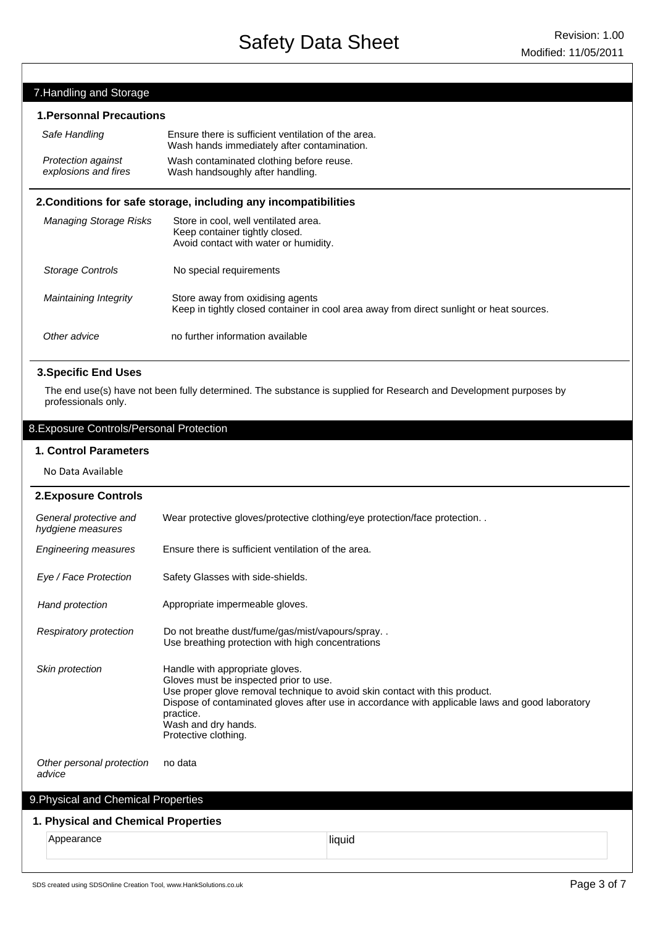# 7.Handling and Storage

# **1.Personnal Precautions**

| Safe Handling                                                   | Ensure there is sufficient ventilation of the area.<br>Wash hands immediately after contamination. |  |  |  |
|-----------------------------------------------------------------|----------------------------------------------------------------------------------------------------|--|--|--|
| <b>Protection against</b><br>explosions and fires               | Wash contaminated clothing before reuse.<br>Wash handsoughly after handling.                       |  |  |  |
| 2. Conditions for safe storage, including any incompatibilities |                                                                                                    |  |  |  |
| <b>Managing Storage Risks</b>                                   | Store in cool, well ventilated area.                                                               |  |  |  |

|                       | Keep container tightly closed.<br>Avoid contact with water or humidity.                                                      |
|-----------------------|------------------------------------------------------------------------------------------------------------------------------|
| Storage Controls      | No special requirements                                                                                                      |
| Maintaining Integrity | Store away from oxidising agents<br>Keep in tightly closed container in cool area away from direct sunlight or heat sources. |
| Other advice          | no further information available                                                                                             |

# **3.Specific End Uses**

The end use(s) have not been fully determined. The substance is supplied for Research and Development purposes by professionals only.

# 8.Exposure Controls/Personal Protection

## **1. Control Parameters**

No Data Available

| <b>2. Exposure Controls</b>                 |                                                                                                                                                                                                                                                                                                                         |  |
|---------------------------------------------|-------------------------------------------------------------------------------------------------------------------------------------------------------------------------------------------------------------------------------------------------------------------------------------------------------------------------|--|
| General protective and<br>hydgiene measures | Wear protective gloves/protective clothing/eye protection/face protection                                                                                                                                                                                                                                               |  |
| <b>Engineering measures</b>                 | Ensure there is sufficient ventilation of the area.                                                                                                                                                                                                                                                                     |  |
| Eye / Face Protection                       | Safety Glasses with side-shields.                                                                                                                                                                                                                                                                                       |  |
| Hand protection                             | Appropriate impermeable gloves.                                                                                                                                                                                                                                                                                         |  |
| <b>Respiratory protection</b>               | Do not breathe dust/fume/gas/mist/vapours/spray<br>Use breathing protection with high concentrations                                                                                                                                                                                                                    |  |
| <b>Skin protection</b>                      | Handle with appropriate gloves.<br>Gloves must be inspected prior to use.<br>Use proper glove removal technique to avoid skin contact with this product.<br>Dispose of contaminated gloves after use in accordance with applicable laws and good laboratory<br>practice.<br>Wash and dry hands.<br>Protective clothing. |  |
| Other personal protection<br>advice         | no data                                                                                                                                                                                                                                                                                                                 |  |
| 9. Physical and Chemical Properties         |                                                                                                                                                                                                                                                                                                                         |  |
|                                             |                                                                                                                                                                                                                                                                                                                         |  |

# **1. Physical and Chemical Properties**

Appearance liquid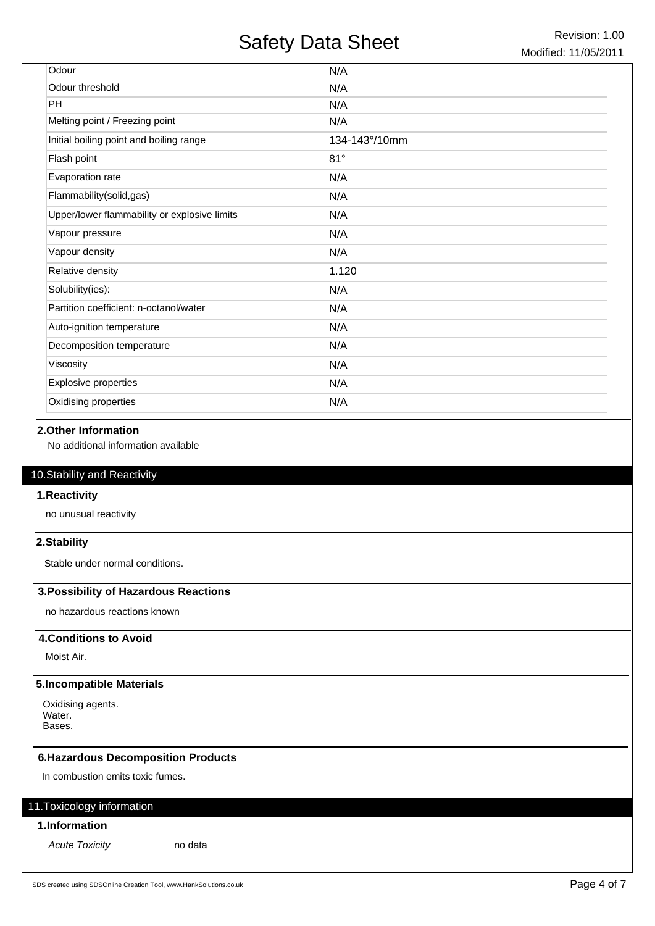| Odour                                        | N/A           |
|----------------------------------------------|---------------|
| Odour threshold                              | N/A           |
| <b>PH</b>                                    | N/A           |
| Melting point / Freezing point               | N/A           |
| Initial boiling point and boiling range      | 134-143°/10mm |
| Flash point                                  | 81°           |
| Evaporation rate                             | N/A           |
| Flammability(solid,gas)                      | N/A           |
| Upper/lower flammability or explosive limits | N/A           |
| Vapour pressure                              | N/A           |
| Vapour density                               | N/A           |
| Relative density                             | 1.120         |
| Solubility(ies):                             | N/A           |
| Partition coefficient: n-octanol/water       | N/A           |
| Auto-ignition temperature                    | N/A           |
| Decomposition temperature                    | N/A           |
| Viscosity                                    | N/A           |
| <b>Explosive properties</b>                  | N/A           |
| Oxidising properties                         | N/A           |

# **2.Other Information**

No additional information available

# 10.Stability and Reactivity

#### **1.Reactivity**

no unusual reactivity

# **2.Stability**

Stable under normal conditions.

# **3.Possibility of Hazardous Reactions**

no hazardous reactions known

# **4.Conditions to Avoid**

Moist Air.

# **5.Incompatible Materials**

Oxidising agents. Water. Bases.

# **6.Hazardous Decomposition Products**

In combustion emits toxic fumes.

# 11.Toxicology information

# **1.Information**

Acute Toxicity no data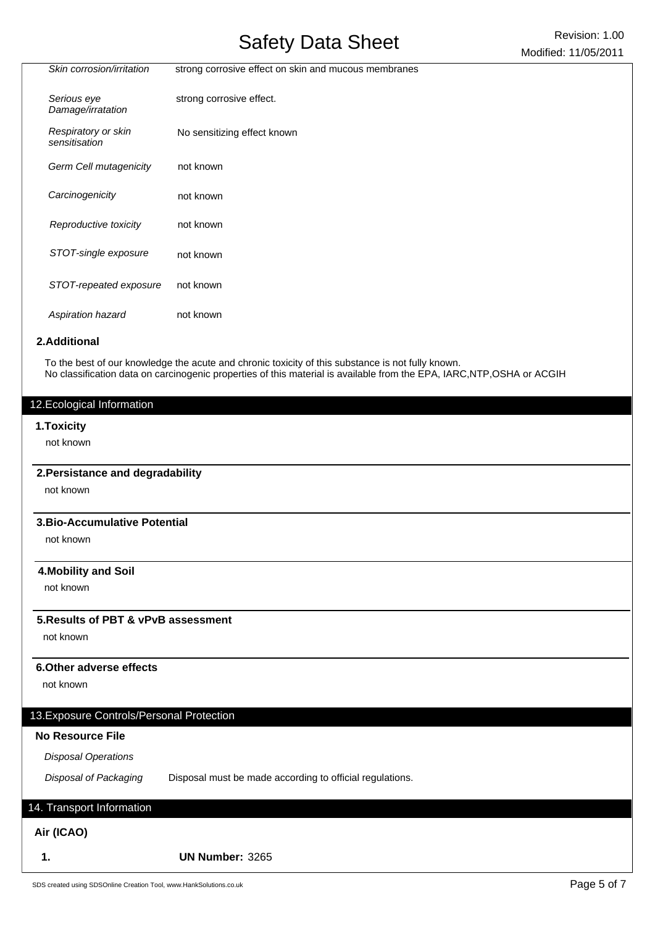|                                      | $S(1, 0, 0)$ $\rightarrow$ $S(1, 0, 0)$              | Modified: 11/05/2011 |
|--------------------------------------|------------------------------------------------------|----------------------|
| Skin corrosion/irritation            | strong corrosive effect on skin and mucous membranes |                      |
| Serious eye<br>Damage/irratation     | strong corrosive effect.                             |                      |
| Respiratory or skin<br>sensitisation | No sensitizing effect known                          |                      |
| Germ Cell mutagenicity               | not known                                            |                      |
| Carcinogenicity                      | not known                                            |                      |
| Reproductive toxicity                | not known                                            |                      |
| STOT-single exposure                 | not known                                            |                      |
| STOT-repeated exposure               | not known                                            |                      |
| Aspiration hazard                    | not known                                            |                      |

# **2.Additional**

To the best of our knowledge the acute and chronic toxicity of this substance is not fully known. No classification data on carcinogenic properties of this material is available from the EPA, IARC,NTP,OSHA or ACGIH

## 12.Ecological Information

#### **1.Toxicity**

not known

#### **2.Persistance and degradability**

not known

#### **3.Bio-Accumulative Potential**

not known

## **4.Mobility and Soil**

not known

# **5.Results of PBT & vPvB assessment**

not known

# **6.Other adverse effects**

not known

# 13.Exposure Controls/Personal Protection

# **No Resource File**

Disposal Operations

Disposal of Packaging Disposal must be made according to official regulations.

# 14. Transport Information

# **Air (ICAO)**

**1. UN Number:** 3265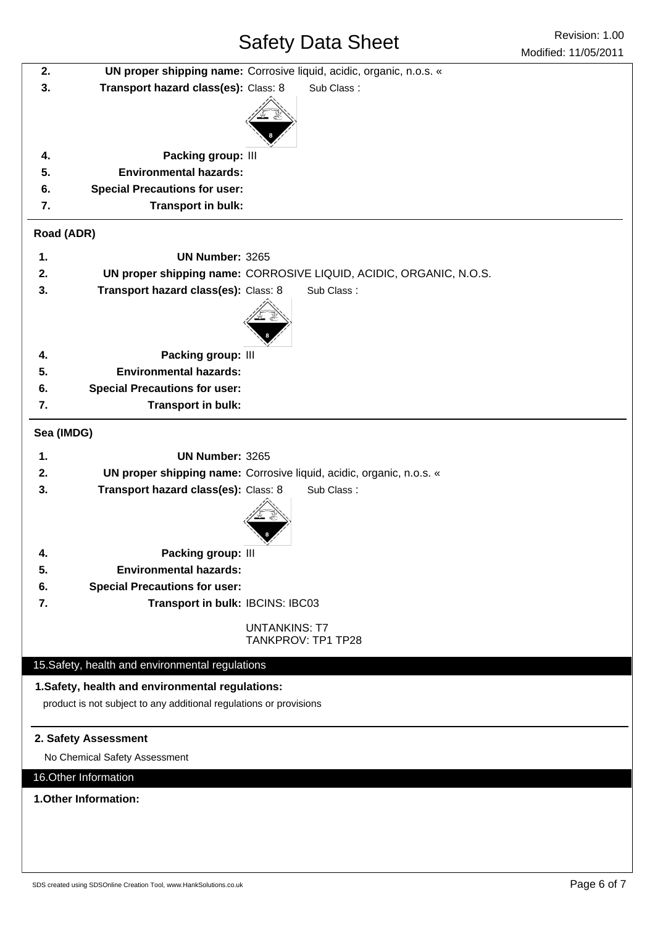| 2.                                                                 |                                                  | UN proper shipping name: Corrosive liquid, acidic, organic, n.o.s. « |
|--------------------------------------------------------------------|--------------------------------------------------|----------------------------------------------------------------------|
| 3.                                                                 | Transport hazard class(es): Class: 8             | Sub Class:                                                           |
|                                                                    |                                                  |                                                                      |
|                                                                    |                                                  |                                                                      |
|                                                                    |                                                  |                                                                      |
| 4.                                                                 | Packing group: III                               |                                                                      |
| 5.                                                                 | <b>Environmental hazards:</b>                    |                                                                      |
| 6.                                                                 | <b>Special Precautions for user:</b>             |                                                                      |
| 7.                                                                 | Transport in bulk:                               |                                                                      |
| Road (ADR)                                                         |                                                  |                                                                      |
| 1.                                                                 | UN Number: 3265                                  |                                                                      |
| 2.                                                                 |                                                  | UN proper shipping name: CORROSIVE LIQUID, ACIDIC, ORGANIC, N.O.S.   |
| 3.                                                                 | Transport hazard class(es): Class: 8             | Sub Class:                                                           |
|                                                                    |                                                  |                                                                      |
|                                                                    |                                                  |                                                                      |
| 4.                                                                 | Packing group: III                               |                                                                      |
| 5.                                                                 | <b>Environmental hazards:</b>                    |                                                                      |
| 6.                                                                 | <b>Special Precautions for user:</b>             |                                                                      |
| 7.                                                                 | Transport in bulk:                               |                                                                      |
|                                                                    |                                                  |                                                                      |
| Sea (IMDG)                                                         |                                                  |                                                                      |
| 1.                                                                 | <b>UN Number: 3265</b>                           |                                                                      |
| 2.                                                                 |                                                  | UN proper shipping name: Corrosive liquid, acidic, organic, n.o.s. « |
| 3.                                                                 | Transport hazard class(es): Class: 8             | Sub Class:                                                           |
|                                                                    |                                                  |                                                                      |
|                                                                    |                                                  |                                                                      |
| 4.                                                                 | <b>Packing group: III</b>                        |                                                                      |
| 5.                                                                 | <b>Environmental hazards:</b>                    |                                                                      |
| 6.                                                                 | <b>Special Precautions for user:</b>             |                                                                      |
| 7.                                                                 | Transport in bulk: IBCINS: IBC03                 |                                                                      |
|                                                                    |                                                  | <b>UNTANKINS: T7</b>                                                 |
|                                                                    |                                                  | TANKPROV: TP1 TP28                                                   |
|                                                                    | 15. Safety, health and environmental regulations |                                                                      |
|                                                                    | 1. Safety, health and environmental regulations: |                                                                      |
| product is not subject to any additional regulations or provisions |                                                  |                                                                      |
|                                                                    |                                                  |                                                                      |
|                                                                    | 2. Safety Assessment                             |                                                                      |
| No Chemical Safety Assessment                                      |                                                  |                                                                      |
| 16. Other Information                                              |                                                  |                                                                      |
| 1. Other Information:                                              |                                                  |                                                                      |
|                                                                    |                                                  |                                                                      |
|                                                                    |                                                  |                                                                      |
|                                                                    |                                                  |                                                                      |